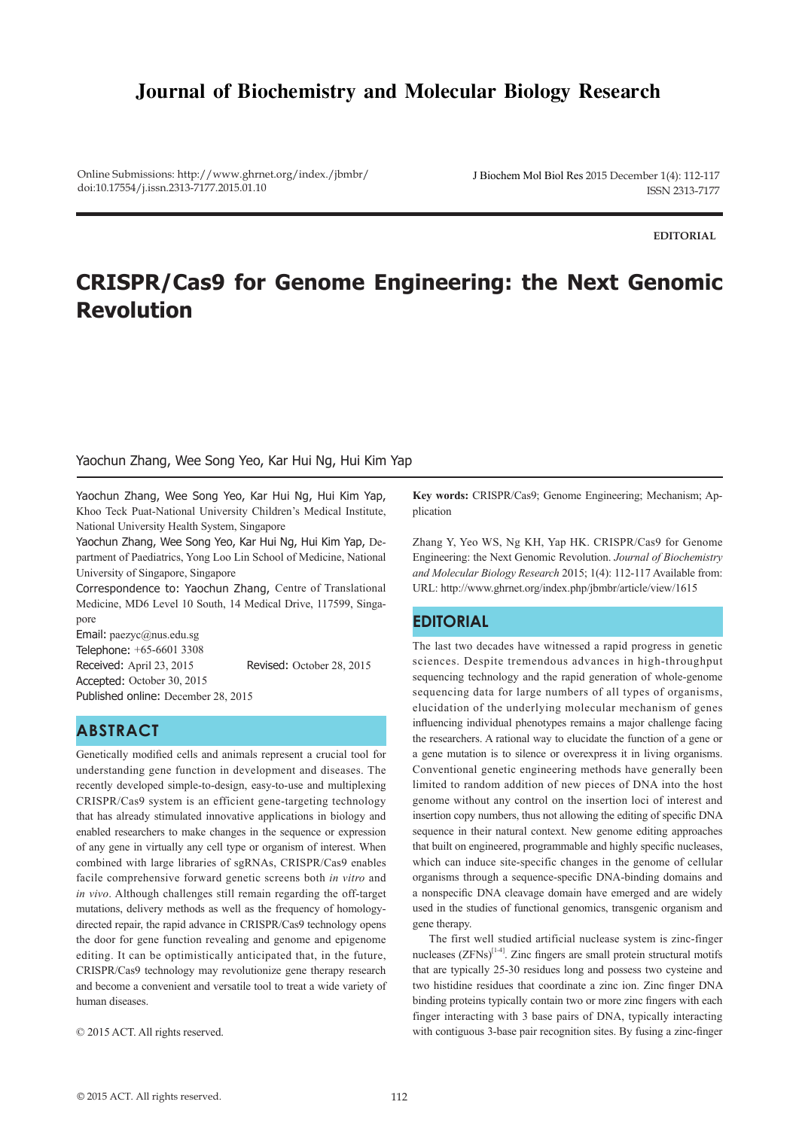# **Journal of Biochemistry and Molecular Biology Research**

Online Submissions: http://www.ghrnet.org/index./jbmbr/ doi:10.17554/j.issn.2313-7177.2015.01.10

J Biochem Mol Biol Res 2015 December 1(4): 112-117 ISSN 2313-7177

**EDITORIAL**

# **CRISPR/Cas9 for Genome Engineering: the Next Genomic Revolution**

#### Yaochun Zhang, Wee Song Yeo, Kar Hui Ng, Hui Kim Yap

Yaochun Zhang, Wee Song Yeo, Kar Hui Ng, Hui Kim Yap, Khoo Teck Puat-National University Children's Medical Institute, National University Health System, Singapore

Yaochun Zhang, Wee Song Yeo, Kar Hui Ng, Hui Kim Yap, Department of Paediatrics, Yong Loo Lin School of Medicine, National University of Singapore, Singapore

Correspondence to: Yaochun Zhang, Centre of Translational Medicine, MD6 Level 10 South, 14 Medical Drive, 117599, Singapore

Email: paezyc@nus.edu.sg Telephone: +65-6601 3308 Received: April 23, 2015 Revised: October 28, 2015 Accepted: October 30, 2015 Published online: December 28, 2015

## **ABSTRACT**

Genetically modified cells and animals represent a crucial tool for understanding gene function in development and diseases. The recently developed simple-to-design, easy-to-use and multiplexing CRISPR/Cas9 system is an efficient gene-targeting technology that has already stimulated innovative applications in biology and enabled researchers to make changes in the sequence or expression of any gene in virtually any cell type or organism of interest. When combined with large libraries of sgRNAs, CRISPR/Cas9 enables facile comprehensive forward genetic screens both *in vitro* and *in vivo*. Although challenges still remain regarding the off-target mutations, delivery methods as well as the frequency of homologydirected repair, the rapid advance in CRISPR/Cas9 technology opens the door for gene function revealing and genome and epigenome editing. It can be optimistically anticipated that, in the future, CRISPR/Cas9 technology may revolutionize gene therapy research and become a convenient and versatile tool to treat a wide variety of human diseases.

© 2015 ACT. All rights reserved.

**Key words:** CRISPR/Cas9; Genome Engineering; Mechanism; Application

Zhang Y, Yeo WS, Ng KH, Yap HK. CRISPR/Cas9 for Genome Engineering: the Next Genomic Revolution. *Journal of Biochemistry and Molecular Biology Research* 2015; 1(4): 112-117 Available from: URL: http://www.ghrnet.org/index.php/jbmbr/article/view/1615

## **EDITORIAL**

The last two decades have witnessed a rapid progress in genetic sciences. Despite tremendous advances in high-throughput sequencing technology and the rapid generation of whole-genome sequencing data for large numbers of all types of organisms, elucidation of the underlying molecular mechanism of genes influencing individual phenotypes remains a major challenge facing the researchers. A rational way to elucidate the function of a gene or a gene mutation is to silence or overexpress it in living organisms. Conventional genetic engineering methods have generally been limited to random addition of new pieces of DNA into the host genome without any control on the insertion loci of interest and insertion copy numbers, thus not allowing the editing of specific DNA sequence in their natural context. New genome editing approaches that built on engineered, programmable and highly specific nucleases, which can induce site-specific changes in the genome of cellular organisms through a sequence-specific DNA-binding domains and a nonspecific DNA cleavage domain have emerged and are widely used in the studies of functional genomics, transgenic organism and gene therapy.

 The first well studied artificial nuclease system is zinc-finger nucleases  $(ZFNs)^{[14]}$ . Zinc fingers are small protein structural motifs that are typically 25-30 residues long and possess two cysteine and two histidine residues that coordinate a zinc ion. Zinc finger DNA binding proteins typically contain two or more zinc fingers with each finger interacting with 3 base pairs of DNA, typically interacting with contiguous 3-base pair recognition sites. By fusing a zinc-finger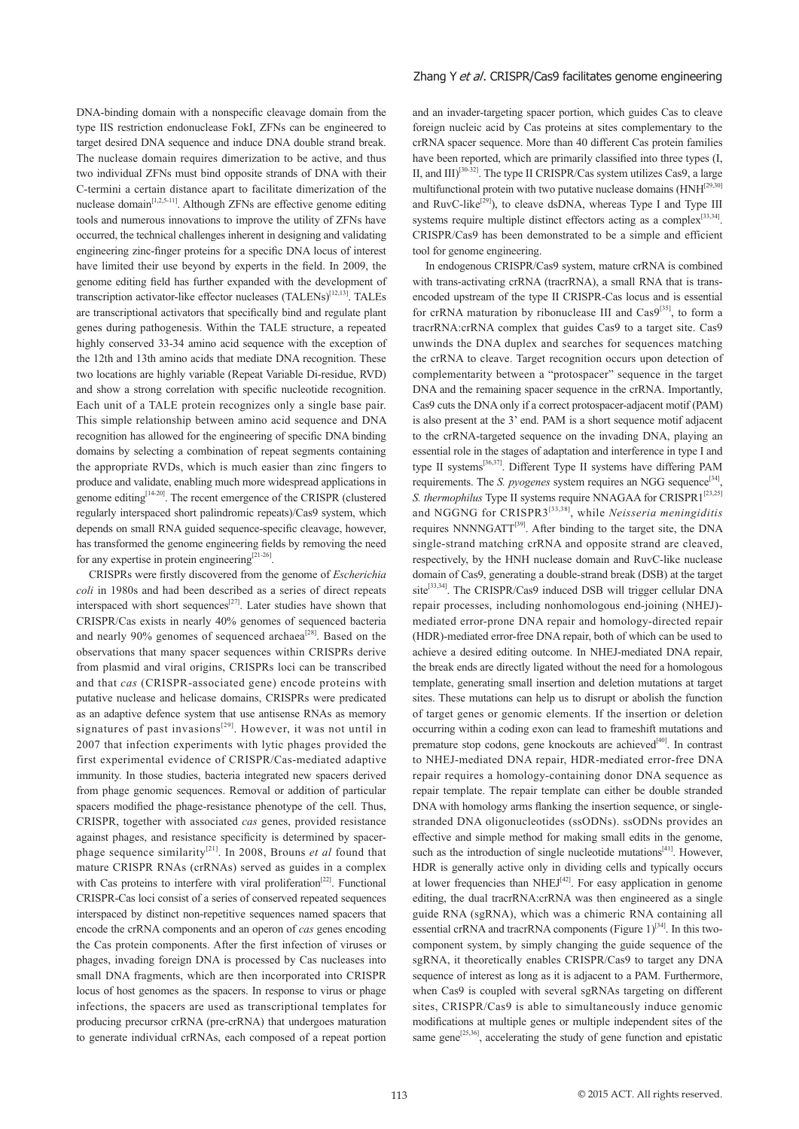DNA-binding domain with a nonspecific cleavage domain from the type IIS restriction endonuclease FokI, ZFNs can be engineered to target desired DNA sequence and induce DNA double strand break. The nuclease domain requires dimerization to be active, and thus two individual ZFNs must bind opposite strands of DNA with their C-termini a certain distance apart to facilitate dimerization of the nuclease domain<sup>[1,2,5-11]</sup>. Although ZFNs are effective genome editing tools and numerous innovations to improve the utility of ZFNs have occurred, the technical challenges inherent in designing and validating engineering zinc-finger proteins for a specific DNA locus of interest have limited their use beyond by experts in the field. In 2009, the genome editing field has further expanded with the development of transcription activator-like effector nucleases (TALENs)<sup>[12,13]</sup>. TALEs are transcriptional activators that specifically bind and regulate plant genes during pathogenesis. Within the TALE structure, a repeated highly conserved 33-34 amino acid sequence with the exception of the 12th and 13th amino acids that mediate DNA recognition. These two locations are highly variable (Repeat Variable Di-residue, RVD) and show a strong correlation with specific nucleotide recognition. Each unit of a TALE protein recognizes only a single base pair. This simple relationship between amino acid sequence and DNA recognition has allowed for the engineering of specific DNA binding domains by selecting a combination of repeat segments containing the appropriate RVDs, which is much easier than zinc fingers to produce and validate, enabling much more widespread applications in genome editing<sup>[14-20]</sup>. The recent emergence of the CRISPR (clustered regularly interspaced short palindromic repeats)/Cas9 system, which depends on small RNA guided sequence-specific cleavage, however, has transformed the genome engineering fields by removing the need for any expertise in protein engineering<sup>[21-26]</sup>.

 CRISPRs were firstly discovered from the genome of *Escherichia coli* in 1980s and had been described as a series of direct repeats interspaced with short sequences<sup>[27]</sup>. Later studies have shown that CRISPR/Cas exists in nearly 40% genomes of sequenced bacteria and nearly 90% genomes of sequenced archaea<sup>[28]</sup>. Based on the observations that many spacer sequences within CRISPRs derive from plasmid and viral origins, CRISPRs loci can be transcribed and that *cas* (CRISPR-associated gene) encode proteins with putative nuclease and helicase domains, CRISPRs were predicated as an adaptive defence system that use antisense RNAs as memory signatures of past invasions<sup>[29]</sup>. However, it was not until in 2007 that infection experiments with lytic phages provided the first experimental evidence of CRISPR/Cas-mediated adaptive immunity. In those studies, bacteria integrated new spacers derived from phage genomic sequences. Removal or addition of particular spacers modified the phage-resistance phenotype of the cell. Thus, CRISPR, together with associated *cas* genes, provided resistance against phages, and resistance specificity is determined by spacerphage sequence similarity[21]. In 2008, Brouns *et al* found that mature CRISPR RNAs (crRNAs) served as guides in a complex with Cas proteins to interfere with viral proliferation<sup>[22]</sup>. Functional CRISPR-Cas loci consist of a series of conserved repeated sequences interspaced by distinct non-repetitive sequences named spacers that encode the crRNA components and an operon of *cas* genes encoding the Cas protein components. After the first infection of viruses or phages, invading foreign DNA is processed by Cas nucleases into small DNA fragments, which are then incorporated into CRISPR locus of host genomes as the spacers. In response to virus or phage infections, the spacers are used as transcriptional templates for producing precursor crRNA (pre-crRNA) that undergoes maturation to generate individual crRNAs, each composed of a repeat portion

#### Zhang Y et al. CRISPR/Cas9 facilitates genome engineering

and an invader-targeting spacer portion, which guides Cas to cleave foreign nucleic acid by Cas proteins at sites complementary to the crRNA spacer sequence. More than 40 different Cas protein families have been reported, which are primarily classified into three types (I, II, and  $III$ <sup>[30-32]</sup>. The type II CRISPR/Cas system utilizes Cas9, a large multifunctional protein with two putative nuclease domains (HNH<sup>[29,30]</sup> and RuvC-like<sup>[29]</sup>), to cleave dsDNA, whereas Type I and Type III systems require multiple distinct effectors acting as a complex<sup>[33,34]</sup>. CRISPR/Cas9 has been demonstrated to be a simple and efficient tool for genome engineering.

 In endogenous CRISPR/Cas9 system, mature crRNA is combined with trans-activating crRNA (tracrRNA), a small RNA that is transencoded upstream of the type II CRISPR-Cas locus and is essential for crRNA maturation by ribonuclease III and  $Cas<sup>[35]</sup>$ , to form a tracrRNA:crRNA complex that guides Cas9 to a target site. Cas9 unwinds the DNA duplex and searches for sequences matching the crRNA to cleave. Target recognition occurs upon detection of complementarity between a "protospacer" sequence in the target DNA and the remaining spacer sequence in the crRNA. Importantly, Cas9 cuts the DNA only if a correct protospacer-adjacent motif (PAM) is also present at the 3' end. PAM is a short sequence motif adjacent to the crRNA-targeted sequence on the invading DNA, playing an essential role in the stages of adaptation and interference in type I and type II systems[36,37]. Different Type II systems have differing PAM requirements. The *S. pyogenes* system requires an NGG sequence<sup>[34]</sup> *S. thermophilus* Type II systems require NNAGAA for CRISPR1[23,25] and NGGNG for CRISPR3[33,38], while *Neisseria meningiditis*  requires NNNNGATT[39]. After binding to the target site, the DNA single-strand matching crRNA and opposite strand are cleaved, respectively, by the HNH nuclease domain and RuvC-like nuclease domain of Cas9, generating a double-strand break (DSB) at the target site<sup>[33,34]</sup>. The CRISPR/Cas9 induced DSB will trigger cellular DNA repair processes, including nonhomologous end-joining (NHEJ) mediated error-prone DNA repair and homology-directed repair (HDR)-mediated error-free DNA repair, both of which can be used to achieve a desired editing outcome. In NHEJ-mediated DNA repair, the break ends are directly ligated without the need for a homologous template, generating small insertion and deletion mutations at target sites. These mutations can help us to disrupt or abolish the function of target genes or genomic elements. If the insertion or deletion occurring within a coding exon can lead to frameshift mutations and premature stop codons, gene knockouts are achieved<sup>[40]</sup>. In contrast to NHEJ-mediated DNA repair, HDR-mediated error-free DNA repair requires a homology-containing donor DNA sequence as repair template. The repair template can either be double stranded DNA with homology arms flanking the insertion sequence, or singlestranded DNA oligonucleotides (ssODNs). ssODNs provides an effective and simple method for making small edits in the genome, such as the introduction of single nucleotide mutations<sup>[41]</sup>. However, HDR is generally active only in dividing cells and typically occurs at lower frequencies than NHE $J^{[42]}$ . For easy application in genome editing, the dual tracrRNA:crRNA was then engineered as a single guide RNA (sgRNA), which was a chimeric RNA containing all essential crRNA and tracrRNA components (Figure  $1$ )<sup>[34]</sup>. In this twocomponent system, by simply changing the guide sequence of the sgRNA, it theoretically enables CRISPR/Cas9 to target any DNA sequence of interest as long as it is adjacent to a PAM. Furthermore, when Cas9 is coupled with several sgRNAs targeting on different sites, CRISPR/Cas9 is able to simultaneously induce genomic modifications at multiple genes or multiple independent sites of the same gene<sup>[25,36]</sup>, accelerating the study of gene function and epistatic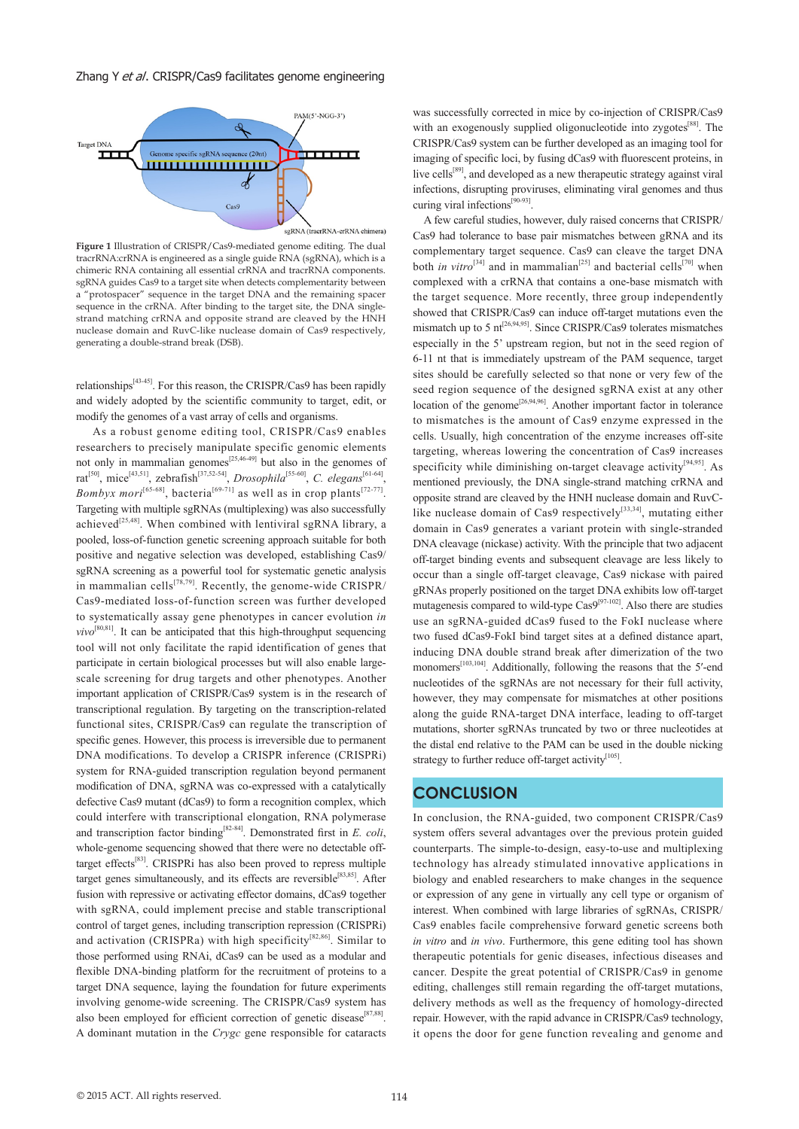Zhang Y et al. CRISPR/Cas9 facilitates genome engineering



**Figure 1** Illustration of CRISPR/Cas9-mediated genome editing. The dual tracrRNA:crRNA is engineered as a single guide RNA (sgRNA), which is a chimeric RNA containing all essential crRNA and tracrRNA components. sgRNA guides Cas9 to a target site when detects complementarity between a "protospacer" sequence in the target DNA and the remaining spacer sequence in the crRNA. After binding to the target site, the DNA singlestrand matching crRNA and opposite strand are cleaved by the HNH nuclease domain and RuvC-like nuclease domain of Cas9 respectively, generating a double-strand break (DSB).

relationships<sup>[43-45]</sup>. For this reason, the CRISPR/Cas9 has been rapidly and widely adopted by the scientific community to target, edit, or modify the genomes of a vast array of cells and organisms.

 As a robust genome editing tool, CRISPR/Cas9 enables researchers to precisely manipulate specific genomic elements not only in mammalian genomes<sup>[25,46-49]</sup> but also in the genomes of rat<sup>[50]</sup>, mice<sup>[43,51]</sup>, zebrafish<sup>[37,52-54]</sup>, *Drosophila*<sup>[55-60]</sup>, *C. elegans*<sup>[61-64]</sup>, *Bombyx mori*<sup>[65-68]</sup>, bacteria<sup>[69-71]</sup> as well as in crop plants<sup>[72-77]</sup>. Targeting with multiple sgRNAs (multiplexing) was also successfully achieved<sup>[25,48]</sup>. When combined with lentiviral sgRNA library, a pooled, loss-of-function genetic screening approach suitable for both positive and negative selection was developed, establishing Cas9/ sgRNA screening as a powerful tool for systematic genetic analysis in mammalian cells<sup>[78,79]</sup>. Recently, the genome-wide CRISPR/ Cas9-mediated loss-of-function screen was further developed to systematically assay gene phenotypes in cancer evolution *in*   $vivo^{[80,81]}$ . It can be anticipated that this high-throughput sequencing tool will not only facilitate the rapid identification of genes that participate in certain biological processes but will also enable largescale screening for drug targets and other phenotypes. Another important application of CRISPR/Cas9 system is in the research of transcriptional regulation. By targeting on the transcription-related functional sites, CRISPR/Cas9 can regulate the transcription of specific genes. However, this process is irreversible due to permanent DNA modifications. To develop a CRISPR inference (CRISPRi) system for RNA-guided transcription regulation beyond permanent modification of DNA, sgRNA was co-expressed with a catalytically defective Cas9 mutant (dCas9) to form a recognition complex, which could interfere with transcriptional elongation, RNA polymerase and transcription factor binding[82-84]. Demonstrated first in *E. coli*, whole-genome sequencing showed that there were no detectable offtarget effects[83]. CRISPRi has also been proved to repress multiple target genes simultaneously, and its effects are reversible<sup>[83,85]</sup>. After fusion with repressive or activating effector domains, dCas9 together with sgRNA, could implement precise and stable transcriptional control of target genes, including transcription repression (CRISPRi) and activation (CRISPRa) with high specificity<sup>[82,86]</sup>. Similar to those performed using RNAi, dCas9 can be used as a modular and flexible DNA-binding platform for the recruitment of proteins to a target DNA sequence, laying the foundation for future experiments involving genome-wide screening. The CRISPR/Cas9 system has also been employed for efficient correction of genetic disease<sup>[87,88]</sup>. A dominant mutation in the *Crygc* gene responsible for cataracts was successfully corrected in mice by co-injection of CRISPR/Cas9 with an exogenously supplied oligonucleotide into zygotes<sup>[88]</sup>. The CRISPR/Cas9 system can be further developed as an imaging tool for imaging of specific loci, by fusing dCas9 with fluorescent proteins, in live cells<sup>[89]</sup>, and developed as a new therapeutic strategy against viral infections, disrupting proviruses, eliminating viral genomes and thus curing viral infections<sup>[90-93]</sup>.

 A few careful studies, however, duly raised concerns that CRISPR/ Cas9 had tolerance to base pair mismatches between gRNA and its complementary target sequence. Cas9 can cleave the target DNA both *in vitro*<sup>[34]</sup> and in mammalian<sup>[25]</sup> and bacterial cells<sup>[70]</sup> when complexed with a crRNA that contains a one-base mismatch with the target sequence. More recently, three group independently showed that CRISPR/Cas9 can induce off-target mutations even the mismatch up to 5 nt<sup>[26,94,95]</sup>. Since CRISPR/Cas9 tolerates mismatches especially in the 5' upstream region, but not in the seed region of 6-11 nt that is immediately upstream of the PAM sequence, target sites should be carefully selected so that none or very few of the seed region sequence of the designed sgRNA exist at any other location of the genome<sup>[26,94,96]</sup>. Another important factor in tolerance to mismatches is the amount of Cas9 enzyme expressed in the cells. Usually, high concentration of the enzyme increases off-site targeting, whereas lowering the concentration of Cas9 increases specificity while diminishing on-target cleavage activity<sup>[94,95]</sup>. As mentioned previously, the DNA single-strand matching crRNA and opposite strand are cleaved by the HNH nuclease domain and RuvClike nuclease domain of Cas9 respectively<sup>[33,34]</sup>, mutating either domain in Cas9 generates a variant protein with single-stranded DNA cleavage (nickase) activity. With the principle that two adjacent off-target binding events and subsequent cleavage are less likely to occur than a single off-target cleavage, Cas9 nickase with paired gRNAs properly positioned on the target DNA exhibits low off-target mutagenesis compared to wild-type  $\text{Cas}\mathcal{P}^{[97-102]}$ . Also there are studies use an sgRNA-guided dCas9 fused to the FokI nuclease where two fused dCas9-FokI bind target sites at a defined distance apart, inducing DNA double strand break after dimerization of the two monomers<sup>[103,104]</sup>. Additionally, following the reasons that the 5'-end nucleotides of the sgRNAs are not necessary for their full activity, however, they may compensate for mismatches at other positions along the guide RNA-target DNA interface, leading to off-target mutations, shorter sgRNAs truncated by two or three nucleotides at the distal end relative to the PAM can be used in the double nicking strategy to further reduce off-target activity<sup>[105]</sup>.

### **CONCLUSION**

In conclusion, the RNA-guided, two component CRISPR/Cas9 system offers several advantages over the previous protein guided counterparts. The simple-to-design, easy-to-use and multiplexing technology has already stimulated innovative applications in biology and enabled researchers to make changes in the sequence or expression of any gene in virtually any cell type or organism of interest. When combined with large libraries of sgRNAs, CRISPR/ Cas9 enables facile comprehensive forward genetic screens both *in vitro* and *in vivo*. Furthermore, this gene editing tool has shown therapeutic potentials for genic diseases, infectious diseases and cancer. Despite the great potential of CRISPR/Cas9 in genome editing, challenges still remain regarding the off-target mutations, delivery methods as well as the frequency of homology-directed repair. However, with the rapid advance in CRISPR/Cas9 technology, it opens the door for gene function revealing and genome and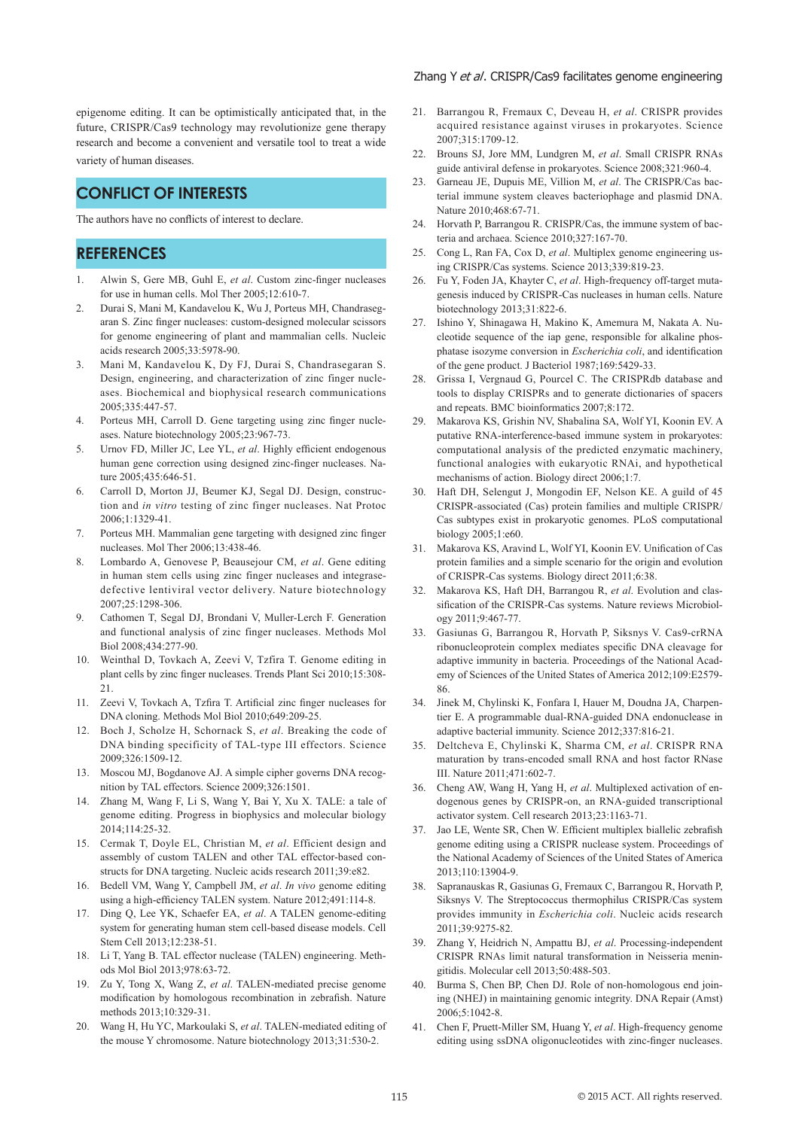epigenome editing. It can be optimistically anticipated that, in the future, CRISPR/Cas9 technology may revolutionize gene therapy research and become a convenient and versatile tool to treat a wide variety of human diseases.

## **CONFLICT OF INTERESTS**

The authors have no conflicts of interest to declare.

## **REFERENCES**

- 1. Alwin S, Gere MB, Guhl E, *et al*. Custom zinc-finger nucleases for use in human cells. Mol Ther 2005;12:610-7.
- 2. Durai S, Mani M, Kandavelou K, Wu J, Porteus MH, Chandrasegaran S. Zinc finger nucleases: custom-designed molecular scissors for genome engineering of plant and mammalian cells. Nucleic acids research 2005;33:5978-90.
- 3. Mani M, Kandavelou K, Dy FJ, Durai S, Chandrasegaran S. Design, engineering, and characterization of zinc finger nucleases. Biochemical and biophysical research communications 2005;335:447-57.
- 4. Porteus MH, Carroll D. Gene targeting using zinc finger nucleases. Nature biotechnology 2005;23:967-73.
- 5. Urnov FD, Miller JC, Lee YL, *et al*. Highly efficient endogenous human gene correction using designed zinc-finger nucleases. Nature 2005;435:646-51.
- 6. Carroll D, Morton JJ, Beumer KJ, Segal DJ. Design, construction and *in vitro* testing of zinc finger nucleases. Nat Protoc 2006;1:1329-41.
- 7. Porteus MH. Mammalian gene targeting with designed zinc finger nucleases. Mol Ther 2006;13:438-46.
- 8. Lombardo A, Genovese P, Beausejour CM, *et al*. Gene editing in human stem cells using zinc finger nucleases and integrasedefective lentiviral vector delivery. Nature biotechnology 2007;25:1298-306.
- 9. Cathomen T, Segal DJ, Brondani V, Muller-Lerch F. Generation and functional analysis of zinc finger nucleases. Methods Mol Biol 2008;434:277-90.
- 10. Weinthal D, Tovkach A, Zeevi V, Tzfira T. Genome editing in plant cells by zinc finger nucleases. Trends Plant Sci 2010;15:308- 21.
- 11. Zeevi V, Tovkach A, Tzfira T. Artificial zinc finger nucleases for DNA cloning. Methods Mol Biol 2010;649:209-25.
- 12. Boch J, Scholze H, Schornack S, *et al*. Breaking the code of DNA binding specificity of TAL-type III effectors. Science 2009;326:1509-12.
- 13. Moscou MJ, Bogdanove AJ. A simple cipher governs DNA recognition by TAL effectors. Science 2009;326:1501.
- 14. Zhang M, Wang F, Li S, Wang Y, Bai Y, Xu X. TALE: a tale of genome editing. Progress in biophysics and molecular biology 2014;114:25-32.
- 15. Cermak T, Doyle EL, Christian M, *et al*. Efficient design and assembly of custom TALEN and other TAL effector-based constructs for DNA targeting. Nucleic acids research 2011;39:e82.
- 16. Bedell VM, Wang Y, Campbell JM, *et al*. *In vivo* genome editing using a high-efficiency TALEN system. Nature 2012;491:114-8.
- 17. Ding Q, Lee YK, Schaefer EA, *et al*. A TALEN genome-editing system for generating human stem cell-based disease models. Cell Stem Cell 2013;12:238-51.
- 18. Li T, Yang B. TAL effector nuclease (TALEN) engineering. Methods Mol Biol 2013;978:63-72.
- 19. Zu Y, Tong X, Wang Z, *et al*. TALEN-mediated precise genome modification by homologous recombination in zebrafish. Nature methods 2013;10:329-31.
- 20. Wang H, Hu YC, Markoulaki S, *et al*. TALEN-mediated editing of the mouse Y chromosome. Nature biotechnology 2013;31:530-2.

#### Zhang Y et al. CRISPR/Cas9 facilitates genome engineering

- 21. Barrangou R, Fremaux C, Deveau H, *et al*. CRISPR provides acquired resistance against viruses in prokaryotes. Science 2007;315:1709-12.
- 22. Brouns SJ, Jore MM, Lundgren M, *et al*. Small CRISPR RNAs guide antiviral defense in prokaryotes. Science 2008;321:960-4.
- 23. Garneau JE, Dupuis ME, Villion M, *et al*. The CRISPR/Cas bacterial immune system cleaves bacteriophage and plasmid DNA. Nature 2010;468:67-71.
- 24. Horvath P, Barrangou R. CRISPR/Cas, the immune system of bacteria and archaea. Science 2010;327:167-70.
- 25. Cong L, Ran FA, Cox D, *et al*. Multiplex genome engineering using CRISPR/Cas systems. Science 2013;339:819-23.
- 26. Fu Y, Foden JA, Khayter C, *et al*. High-frequency off-target mutagenesis induced by CRISPR-Cas nucleases in human cells. Nature biotechnology 2013;31:822-6.
- 27. Ishino Y, Shinagawa H, Makino K, Amemura M, Nakata A. Nucleotide sequence of the iap gene, responsible for alkaline phosphatase isozyme conversion in *Escherichia coli*, and identification of the gene product. J Bacteriol 1987;169:5429-33.
- 28. Grissa I, Vergnaud G, Pourcel C. The CRISPRdb database and tools to display CRISPRs and to generate dictionaries of spacers and repeats. BMC bioinformatics 2007;8:172.
- 29. Makarova KS, Grishin NV, Shabalina SA, Wolf YI, Koonin EV. A putative RNA-interference-based immune system in prokaryotes: computational analysis of the predicted enzymatic machinery, functional analogies with eukaryotic RNAi, and hypothetical mechanisms of action. Biology direct 2006;1:7.
- 30. Haft DH, Selengut J, Mongodin EF, Nelson KE. A guild of 45 CRISPR-associated (Cas) protein families and multiple CRISPR/ Cas subtypes exist in prokaryotic genomes. PLoS computational biology 2005;1:e60.
- 31. Makarova KS, Aravind L, Wolf YI, Koonin EV. Unification of Cas protein families and a simple scenario for the origin and evolution of CRISPR-Cas systems. Biology direct 2011;6:38.
- 32. Makarova KS, Haft DH, Barrangou R, *et al*. Evolution and classification of the CRISPR-Cas systems. Nature reviews Microbiology 2011;9:467-77.
- 33. Gasiunas G, Barrangou R, Horvath P, Siksnys V. Cas9-crRNA ribonucleoprotein complex mediates specific DNA cleavage for adaptive immunity in bacteria. Proceedings of the National Academy of Sciences of the United States of America 2012;109:E2579- 86.
- 34. Jinek M, Chylinski K, Fonfara I, Hauer M, Doudna JA, Charpentier E. A programmable dual-RNA-guided DNA endonuclease in adaptive bacterial immunity. Science 2012;337:816-21.
- 35. Deltcheva E, Chylinski K, Sharma CM, *et al*. CRISPR RNA maturation by trans-encoded small RNA and host factor RNase III. Nature 2011;471:602-7.
- 36. Cheng AW, Wang H, Yang H, *et al*. Multiplexed activation of endogenous genes by CRISPR-on, an RNA-guided transcriptional activator system. Cell research 2013;23:1163-71.
- 37. Jao LE, Wente SR, Chen W. Efficient multiplex biallelic zebrafish genome editing using a CRISPR nuclease system. Proceedings of the National Academy of Sciences of the United States of America 2013;110:13904-9.
- 38. Sapranauskas R, Gasiunas G, Fremaux C, Barrangou R, Horvath P, Siksnys V. The Streptococcus thermophilus CRISPR/Cas system provides immunity in *Escherichia coli*. Nucleic acids research 2011;39:9275-82.
- 39. Zhang Y, Heidrich N, Ampattu BJ, *et al*. Processing-independent CRISPR RNAs limit natural transformation in Neisseria meningitidis. Molecular cell 2013;50:488-503.
- 40. Burma S, Chen BP, Chen DJ. Role of non-homologous end joining (NHEJ) in maintaining genomic integrity. DNA Repair (Amst) 2006;5:1042-8.
- 41. Chen F, Pruett-Miller SM, Huang Y, *et al*. High-frequency genome editing using ssDNA oligonucleotides with zinc-finger nucleases.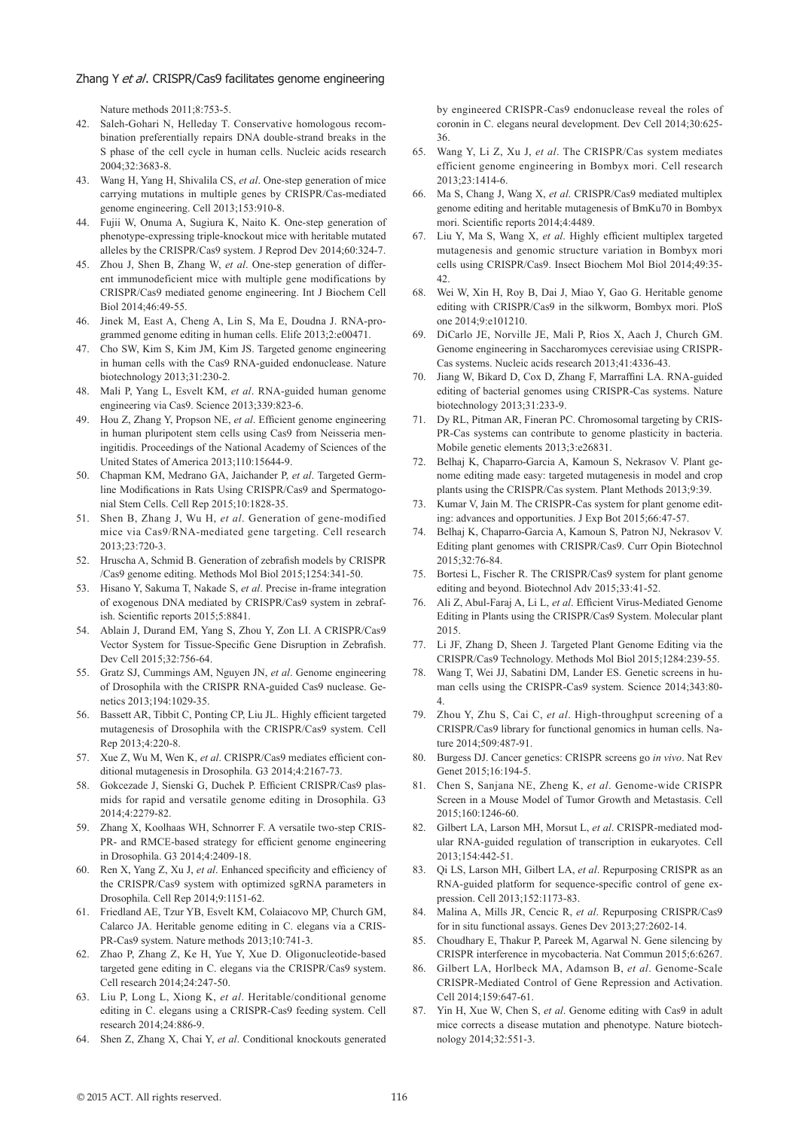#### Zhang Y et al. CRISPR/Cas9 facilitates genome engineering

Nature methods 2011;8:753-5.

- 42. Saleh-Gohari N, Helleday T. Conservative homologous recombination preferentially repairs DNA double-strand breaks in the S phase of the cell cycle in human cells. Nucleic acids research 2004;32:3683-8.
- 43. Wang H, Yang H, Shivalila CS, *et al*. One-step generation of mice carrying mutations in multiple genes by CRISPR/Cas-mediated genome engineering. Cell 2013;153:910-8.
- 44. Fujii W, Onuma A, Sugiura K, Naito K. One-step generation of phenotype-expressing triple-knockout mice with heritable mutated alleles by the CRISPR/Cas9 system. J Reprod Dev 2014;60:324-7.
- 45. Zhou J, Shen B, Zhang W, *et al*. One-step generation of different immunodeficient mice with multiple gene modifications by CRISPR/Cas9 mediated genome engineering. Int J Biochem Cell Biol 2014;46:49-55.
- 46. Jinek M, East A, Cheng A, Lin S, Ma E, Doudna J. RNA-programmed genome editing in human cells. Elife 2013;2:e00471.
- 47. Cho SW, Kim S, Kim JM, Kim JS. Targeted genome engineering in human cells with the Cas9 RNA-guided endonuclease. Nature biotechnology 2013;31:230-2.
- 48. Mali P, Yang L, Esvelt KM, *et al*. RNA-guided human genome engineering via Cas9. Science 2013;339:823-6.
- 49. Hou Z, Zhang Y, Propson NE, *et al*. Efficient genome engineering in human pluripotent stem cells using Cas9 from Neisseria meningitidis. Proceedings of the National Academy of Sciences of the United States of America 2013;110:15644-9.
- 50. Chapman KM, Medrano GA, Jaichander P, *et al*. Targeted Germline Modifications in Rats Using CRISPR/Cas9 and Spermatogonial Stem Cells. Cell Rep 2015;10:1828-35.
- 51. Shen B, Zhang J, Wu H, *et al*. Generation of gene-modified mice via Cas9/RNA-mediated gene targeting. Cell research 2013;23:720-3.
- 52. Hruscha A, Schmid B. Generation of zebrafish models by CRISPR /Cas9 genome editing. Methods Mol Biol 2015;1254:341-50.
- 53. Hisano Y, Sakuma T, Nakade S, *et al*. Precise in-frame integration of exogenous DNA mediated by CRISPR/Cas9 system in zebrafish. Scientific reports 2015;5:8841.
- 54. Ablain J, Durand EM, Yang S, Zhou Y, Zon LI. A CRISPR/Cas9 Vector System for Tissue-Specific Gene Disruption in Zebrafish. Dev Cell 2015;32:756-64.
- 55. Gratz SJ, Cummings AM, Nguyen JN, *et al*. Genome engineering of Drosophila with the CRISPR RNA-guided Cas9 nuclease. Genetics 2013;194:1029-35.
- 56. Bassett AR, Tibbit C, Ponting CP, Liu JL. Highly efficient targeted mutagenesis of Drosophila with the CRISPR/Cas9 system. Cell Rep 2013;4:220-8.
- 57. Xue Z, Wu M, Wen K, *et al*. CRISPR/Cas9 mediates efficient conditional mutagenesis in Drosophila. G3 2014;4:2167-73.
- 58. Gokcezade J, Sienski G, Duchek P. Efficient CRISPR/Cas9 plasmids for rapid and versatile genome editing in Drosophila. G3 2014;4:2279-82.
- 59. Zhang X, Koolhaas WH, Schnorrer F. A versatile two-step CRIS-PR- and RMCE-based strategy for efficient genome engineering in Drosophila. G3 2014;4:2409-18.
- 60. Ren X, Yang Z, Xu J, *et al*. Enhanced specificity and efficiency of the CRISPR/Cas9 system with optimized sgRNA parameters in Drosophila. Cell Rep 2014;9:1151-62.
- 61. Friedland AE, Tzur YB, Esvelt KM, Colaiacovo MP, Church GM, Calarco JA. Heritable genome editing in C. elegans via a CRIS-PR-Cas9 system. Nature methods 2013;10:741-3.
- 62. Zhao P, Zhang Z, Ke H, Yue Y, Xue D. Oligonucleotide-based targeted gene editing in C. elegans via the CRISPR/Cas9 system. Cell research 2014;24:247-50.
- 63. Liu P, Long L, Xiong K, *et al*. Heritable/conditional genome editing in C. elegans using a CRISPR-Cas9 feeding system. Cell research 2014;24:886-9.
- 64. Shen Z, Zhang X, Chai Y, *et al*. Conditional knockouts generated

by engineered CRISPR-Cas9 endonuclease reveal the roles of coronin in C. elegans neural development. Dev Cell 2014;30:625- 36.

- 65. Wang Y, Li Z, Xu J, *et al*. The CRISPR/Cas system mediates efficient genome engineering in Bombyx mori. Cell research 2013;23:1414-6.
- 66. Ma S, Chang J, Wang X, *et al*. CRISPR/Cas9 mediated multiplex genome editing and heritable mutagenesis of BmKu70 in Bombyx mori. Scientific reports 2014;4:4489.
- 67. Liu Y, Ma S, Wang X, *et al*. Highly efficient multiplex targeted mutagenesis and genomic structure variation in Bombyx mori cells using CRISPR/Cas9. Insect Biochem Mol Biol 2014;49:35- 42.
- 68. Wei W, Xin H, Roy B, Dai J, Miao Y, Gao G. Heritable genome editing with CRISPR/Cas9 in the silkworm, Bombyx mori. PloS one 2014;9:e101210.
- 69. DiCarlo JE, Norville JE, Mali P, Rios X, Aach J, Church GM. Genome engineering in Saccharomyces cerevisiae using CRISPR-Cas systems. Nucleic acids research 2013;41:4336-43.
- 70. Jiang W, Bikard D, Cox D, Zhang F, Marraffini LA. RNA-guided editing of bacterial genomes using CRISPR-Cas systems. Nature biotechnology 2013;31:233-9.
- 71. Dy RL, Pitman AR, Fineran PC. Chromosomal targeting by CRIS-PR-Cas systems can contribute to genome plasticity in bacteria. Mobile genetic elements 2013;3:e26831.
- 72. Belhaj K, Chaparro-Garcia A, Kamoun S, Nekrasov V. Plant genome editing made easy: targeted mutagenesis in model and crop plants using the CRISPR/Cas system. Plant Methods 2013;9:39.
- Kumar V, Jain M. The CRISPR-Cas system for plant genome editing: advances and opportunities. J Exp Bot 2015;66:47-57.
- 74. Belhaj K, Chaparro-Garcia A, Kamoun S, Patron NJ, Nekrasov V. Editing plant genomes with CRISPR/Cas9. Curr Opin Biotechnol 2015;32:76-84.
- 75. Bortesi L, Fischer R. The CRISPR/Cas9 system for plant genome editing and beyond. Biotechnol Adv 2015;33:41-52.
- 76. Ali Z, Abul-Faraj A, Li L, *et al*. Efficient Virus-Mediated Genome Editing in Plants using the CRISPR/Cas9 System. Molecular plant 2015.
- 77. Li JF, Zhang D, Sheen J. Targeted Plant Genome Editing via the CRISPR/Cas9 Technology. Methods Mol Biol 2015;1284:239-55.
- 78. Wang T, Wei JJ, Sabatini DM, Lander ES. Genetic screens in human cells using the CRISPR-Cas9 system. Science 2014;343:80- 4.
- 79. Zhou Y, Zhu S, Cai C, *et al*. High-throughput screening of a CRISPR/Cas9 library for functional genomics in human cells. Nature 2014;509:487-91.
- 80. Burgess DJ. Cancer genetics: CRISPR screens go *in vivo*. Nat Rev Genet 2015;16:194-5.
- 81. Chen S, Sanjana NE, Zheng K, *et al*. Genome-wide CRISPR Screen in a Mouse Model of Tumor Growth and Metastasis. Cell 2015;160:1246-60.
- 82. Gilbert LA, Larson MH, Morsut L, *et al*. CRISPR-mediated modular RNA-guided regulation of transcription in eukaryotes. Cell 2013;154:442-51.
- 83. Qi LS, Larson MH, Gilbert LA, *et al*. Repurposing CRISPR as an RNA-guided platform for sequence-specific control of gene expression. Cell 2013;152:1173-83.
- 84. Malina A, Mills JR, Cencic R, *et al*. Repurposing CRISPR/Cas9 for in situ functional assays. Genes Dev 2013;27:2602-14.
- 85. Choudhary E, Thakur P, Pareek M, Agarwal N. Gene silencing by CRISPR interference in mycobacteria. Nat Commun 2015;6:6267.
- 86. Gilbert LA, Horlbeck MA, Adamson B, *et al*. Genome-Scale CRISPR-Mediated Control of Gene Repression and Activation. Cell 2014;159:647-61.
- 87. Yin H, Xue W, Chen S, *et al*. Genome editing with Cas9 in adult mice corrects a disease mutation and phenotype. Nature biotechnology 2014;32:551-3.